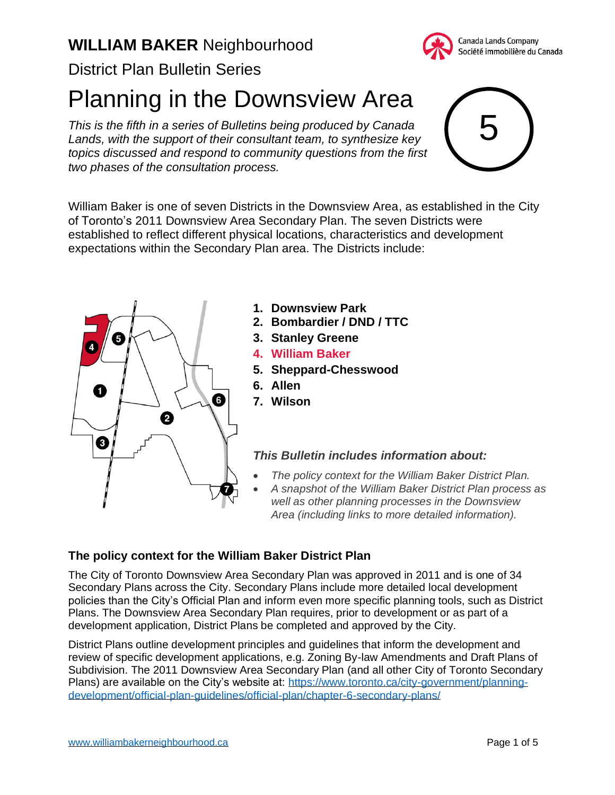

District Plan Bulletin Series

Planning in the Downsview Area

*This is the fifth in a series of Bulletins being produced by Canada Lands, with the support of their consultant team, to synthesize key topics discussed and respond to community questions from the first two phases of the consultation process.*



William Baker is one of seven Districts in the Downsview Area, as established in the City of Toronto's 2011 Downsview Area Secondary Plan. The seven Districts were established to reflect different physical locations, characteristics and development expectations within the Secondary Plan area. The Districts include:



- **1. Downsview Park**
- **2. Bombardier / DND / TTC**
- **3. Stanley Greene**
- **4. William Baker**
- **5. Sheppard-Chesswood**
- **6. Allen**
- **7. Wilson**

### *This Bulletin includes information about:*

- *The policy context for the William Baker District Plan.*
- *A snapshot of the William Baker District Plan process as well as other planning processes in the Downsview Area (including links to more detailed information).*

### **The policy context for the William Baker District Plan**

The City of Toronto Downsview Area Secondary Plan was approved in 2011 and is one of 34 Secondary Plans across the City. Secondary Plans include more detailed local development policies than the City's Official Plan and inform even more specific planning tools, such as District Plans. The Downsview Area Secondary Plan requires, prior to development or as part of a development application, District Plans be completed and approved by the City.

District Plans outline development principles and guidelines that inform the development and review of specific development applications, e.g. Zoning By-law Amendments and Draft Plans of Subdivision. The 2011 Downsview Area Secondary Plan (and all other City of Toronto Secondary Plans) are available on the City's website at: [https://www.toronto.ca/city-government/planning](https://www.toronto.ca/city-government/planning-development/official-plan-guidelines/official-plan/chapter-6-secondary-plans/)[development/official-plan-guidelines/official-plan/chapter-6-secondary-plans/](https://www.toronto.ca/city-government/planning-development/official-plan-guidelines/official-plan/chapter-6-secondary-plans/)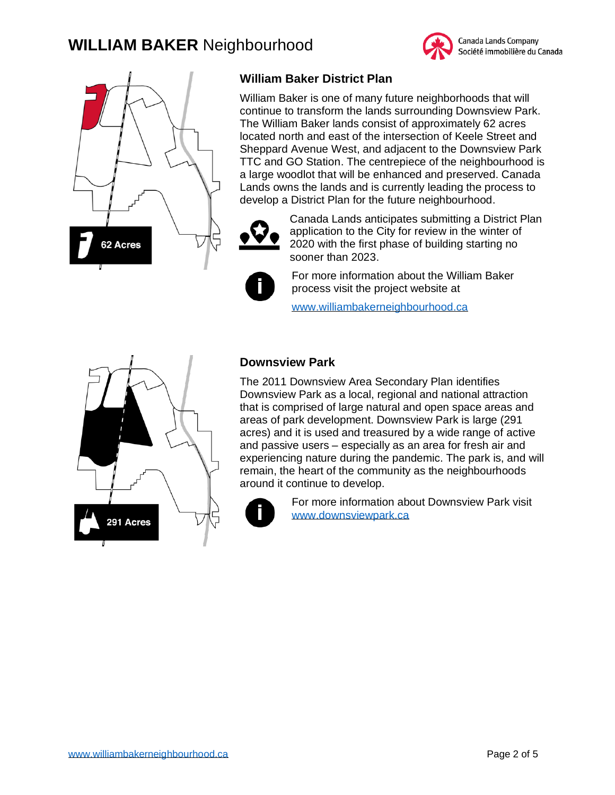



## **William Baker District Plan**

William Baker is one of many future neighborhoods that will continue to transform the lands surrounding Downsview Park. The William Baker lands consist of approximately 62 acres located north and east of the intersection of Keele Street and Sheppard Avenue West, and adjacent to the Downsview Park TTC and GO Station. The centrepiece of the neighbourhood is a large woodlot that will be enhanced and preserved. Canada Lands owns the lands and is currently leading the process to develop a District Plan for the future neighbourhood.



Canada Lands anticipates submitting a District Plan application to the City for review in the winter of 2020 with the first phase of building starting no sooner than 2023.

For more information about the William Baker process visit the project website at

[www.williambakerneighbourhood.ca](http://www.williambakerneighbourhood.ca/)



## **Downsview Park**

The 2011 Downsview Area Secondary Plan identifies Downsview Park as a local, regional and national attraction that is comprised of large natural and open space areas and areas of park development. Downsview Park is large (291 acres) and it is used and treasured by a wide range of active and passive users – especially as an area for fresh air and experiencing nature during the pandemic. The park is, and will remain, the heart of the community as the neighbourhoods around it continue to develop.



For more information about Downsview Park visit [www.downsviewpark.ca](http://www.downsviewpark.ca/)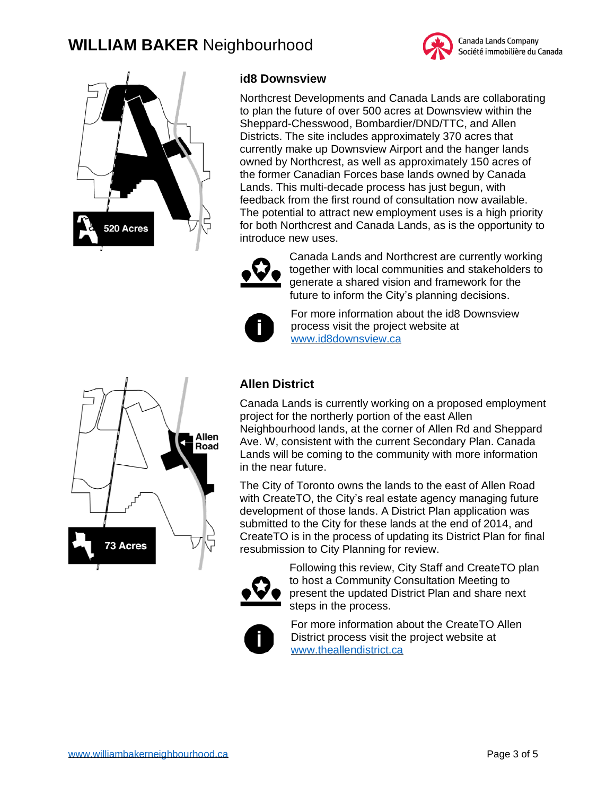# **WILLIAM BAKER** Neighbourhood





## **id8 Downsview**

Northcrest Developments and Canada Lands are collaborating to plan the future of over 500 acres at Downsview within the Sheppard-Chesswood, Bombardier/DND/TTC, and Allen Districts. The site includes approximately 370 acres that currently make up Downsview Airport and the hanger lands owned by Northcrest, as well as approximately 150 acres of the former Canadian Forces base lands owned by Canada Lands. This multi-decade process has just begun, with feedback from the first round of consultation now available. The potential to attract new employment uses is a high priority for both Northcrest and Canada Lands, as is the opportunity to introduce new uses.



Canada Lands and Northcrest are currently working together with local communities and stakeholders to generate a shared vision and framework for the future to inform the City's planning decisions.



Allen Road

For more information about the id8 Downsview process visit the project website at [www.id8downsview.ca](http://www.id8downsview.ca/)



Canada Lands is currently working on a proposed employment project for the northerly portion of the east Allen Neighbourhood lands, at the corner of Allen Rd and Sheppard Ave. W, consistent with the current Secondary Plan. Canada Lands will be coming to the community with more information in the near future.

The City of Toronto owns the lands to the east of Allen Road with CreateTO, the City's real estate agency managing future development of those lands. A District Plan application was submitted to the City for these lands at the end of 2014, and CreateTO is in the process of updating its District Plan for final resubmission to City Planning for review.



Following this review, City Staff and CreateTO plan to host a Community Consultation Meeting to present the updated District Plan and share next steps in the process.



For more information about the CreateTO Allen District process visit the project website at [www.theallendistrict.ca](http://www.theallendistrict.ca/)

**73 Acres**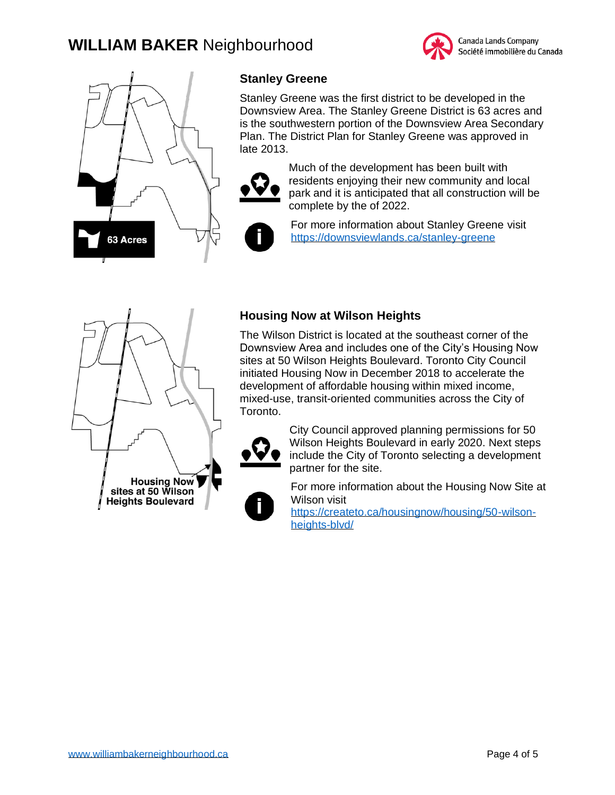



# **Stanley Greene**

Stanley Greene was the first district to be developed in the Downsview Area. The Stanley Greene District is 63 acres and is the southwestern portion of the Downsview Area Secondary Plan. The District Plan for Stanley Greene was approved in late 2013.



Much of the development has been built with residents enjoying their new community and local park and it is anticipated that all construction will be complete by the of 2022.



For more information about Stanley Greene visit <https://downsviewlands.ca/stanley-greene>



## **Housing Now at Wilson Heights**

The Wilson District is located at the southeast corner of the Downsview Area and includes one of the City's Housing Now sites at 50 Wilson Heights Boulevard. Toronto City Council initiated Housing Now in December 2018 to accelerate the development of affordable housing within mixed income, mixed-use, transit-oriented communities across the City of Toronto.



City Council approved planning permissions for 50 Wilson Heights Boulevard in early 2020. Next steps include the City of Toronto selecting a development partner for the site.



For more information about the Housing Now Site at Wilson visit

[https://createto.ca/housingnow/housing/50-wilson](https://createto.ca/housingnow/housing/50-wilson-heights-blvd/)[heights-blvd/](https://createto.ca/housingnow/housing/50-wilson-heights-blvd/)